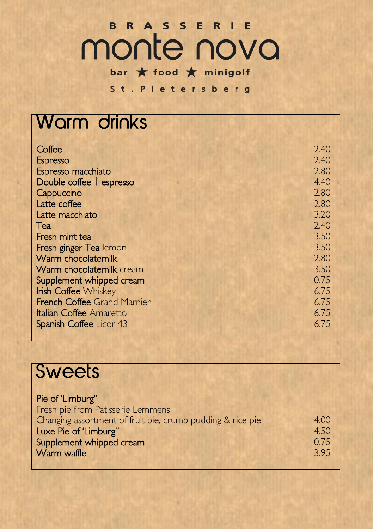## B R A S S E R I E monte nova

bar  $\bigstar$  food  $\bigstar$  minigolf St. Pietersberg

#### **Warm drinks**  $C$ offee  $2.40$ Espresso 2.40 Espresso macchiato 2.80 Double coffee | espresso 4.40 Cappuccino 2.80 Latte coffee 2.80<br>
Latte macchiato 2.90<br>
2.80<br>
2.90 Latte macchiato 3.20<br>
Tea 2.40  $Tea$  2.40 Fresh mint tea 3.50<br>
Fresh ginger Tea lemon 3.50<br>
3.50 Solid State 3.50 Solid State 3.50 Solid State 3.50 Solid State 3.50 Solid State 3.50 Solid State 3.50 Solid State 3.50 Solid State 3.50 Solid State 3.50 Solid State 3. Fresh ginger Tea lemon 3.50 Warm chocolatemilk<br>
Warm chocolatemilk cream<br>
3.50 Warm chocolatemilk cream Supplement whipped cream 0.75<br>
Irish Coffee Whiskey 6.75 **Irish Coffee** Whiskey 6.75<br> **French Coffee** Grand Marnier 6.75 French Coffee Grand Marnier 6.75<br> **Italian Coffee Amaretto** 6.75 **Italian Coffee Amaretto** Spanish Coffee Licor 43 6.75

| <b>Sweets</b>                                                                                                                                                                            |                              |
|------------------------------------------------------------------------------------------------------------------------------------------------------------------------------------------|------------------------------|
|                                                                                                                                                                                          |                              |
| Pie of 'Limburg''<br>Fresh pie from Patisserie Lemmens<br>Changing assortment of fruit pie, crumb pudding & rice pie<br>Luxe Pie of 'Limburg"<br>Supplement whipped cream<br>Warm waffle | 4.00<br>4.50<br>0.75<br>3.95 |
|                                                                                                                                                                                          |                              |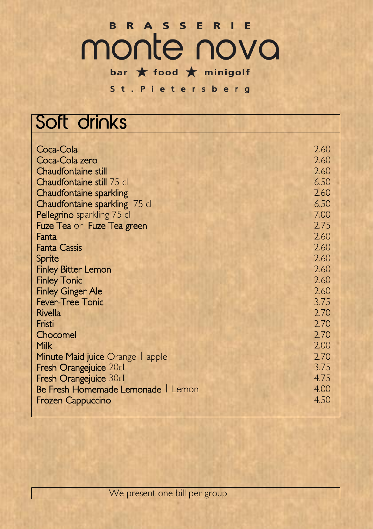## B R A S S E R I E monte nova bar  $\bigstar$  food  $\bigstar$  minigolf

St. Pietersberg

## Soft drinks

| Coca-Cola                          | 2.60 |
|------------------------------------|------|
| Coca-Cola zero                     | 2.60 |
| Chaudfontaine still                | 2.60 |
| Chaudfontaine still 75 cl          | 6.50 |
| <b>Chaudfontaine sparkling</b>     | 2.60 |
| Chaudfontaine sparkling 75 cl      | 6.50 |
| Pellegrino sparkling 75 cl         | 7.00 |
| Fuze Tea or Fuze Tea green         | 2.75 |
| Fanta                              | 2.60 |
| <b>Fanta Cassis</b>                | 2.60 |
| Sprite                             | 2.60 |
| <b>Finley Bitter Lemon</b>         | 2.60 |
| <b>Finley Tonic</b>                | 2.60 |
| <b>Finley Ginger Ale</b>           | 2.60 |
| <b>Fever-Tree Tonic</b>            | 3.75 |
| <b>Rivella</b>                     | 2.70 |
| Fristi                             | 2.70 |
| Chocomel                           | 2.70 |
| <b>Milk</b>                        | 2.00 |
| Minute Maid juice Orange   apple   | 2.70 |
| Fresh Orangejuice 20cl             | 3.75 |
| Fresh Orangejuice 30cl             | 4.75 |
| Be Fresh Homemade Lemonade   Lemon | 4.00 |
| Frozen Cappuccino                  | 4.50 |
|                                    |      |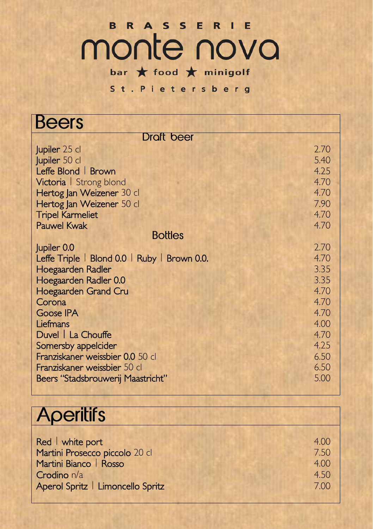St. Pietersberg

| <b>Beers</b>                                 |      |
|----------------------------------------------|------|
| <b>Draft</b> beer                            |      |
| Jupiler 25 cl                                | 2.70 |
| Jupiler 50 cl                                | 5.40 |
| Leffe Blond   Brown                          | 4.25 |
| Victoria   Strong blond                      | 4.70 |
| Hertog Jan Weizener 30 cl                    | 4.70 |
| Hertog Jan Weizener 50 cl                    | 7.90 |
| <b>Tripel Karmeliet</b>                      | 4.70 |
| <b>Pauwel Kwak</b>                           | 4.70 |
| <b>Bottles</b>                               |      |
| Jupiler 0.0                                  | 2.70 |
| Leffe Triple   Blond 0.0   Ruby   Brown 0.0. | 4.70 |
| Hoegaarden Radler                            | 3.35 |
| Hoegaarden Radler 0.0                        | 3.35 |
| Hoegaarden Grand Cru                         | 4.70 |
| Corona                                       | 4.70 |
| <b>Goose IPA</b>                             | 4.70 |
| Liefmans                                     | 4.00 |
| Duvel   La Chouffe                           | 4.70 |
| Somersby appelcider                          | 4.25 |
| Franziskaner weissbier 0.0 50 cl             | 6.50 |
| Franziskaner weissbier 50 cl                 | 6.50 |
| Beers "Stadsbrouwerij Maastricht"            | 5.00 |

| Beers "Stadsbrouwerij Maastricht" | 5.00 |
|-----------------------------------|------|
| <b>Aperitifs</b>                  |      |
|                                   |      |
| Red   white port                  | 4.00 |
| Martini Prosecco piccolo 20 cl    | 7.50 |
| Martini Bianco   Rosso            | 4.00 |
| Crodino n/a                       | 4.50 |
| Aperol Spritz   Limoncello Spritz | 7.00 |
|                                   |      |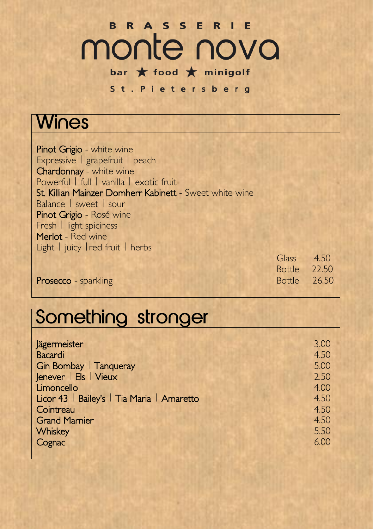### BRASSERIE monte nova bar  $\bigstar$  food  $\bigstar$  minigolf

#### St. Pietersberg

#### **Wines**

Pinot Grigio - white wine Expressive | grapefruit | peach Chardonnay - white wine Powerful | full | vanilla | exotic fruit St. Killian Mainzer Domherr Kabinett - Sweet white wine Balance | sweet | sour Pinot Grigio - Rosé wine Fresh | light spiciness Merlot - Red wine Light | juicy | red fruit | herbs

|                             | Glass 4.50          |  |
|-----------------------------|---------------------|--|
|                             | Bottle 22.50        |  |
| <b>Prosecco</b> - sparkling | <b>Bottle</b> 26.50 |  |

Prosecco - sparkling

## Something stronger

| <b>Jägermeister</b>                        | 3.00 |
|--------------------------------------------|------|
| <b>Bacardi</b>                             | 4.50 |
| Gin Bombay   Tanqueray                     | 5.00 |
| Jenever   Els   Vieux                      | 2.50 |
| Limoncello                                 | 4.00 |
| Licor 43   Bailey's   Tia Maria   Amaretto | 4.50 |
| Cointreau                                  | 4.50 |
| <b>Grand Marnier</b>                       | 4.50 |
| Whiskey                                    | 5.50 |
| Cognac                                     | 6.00 |
|                                            |      |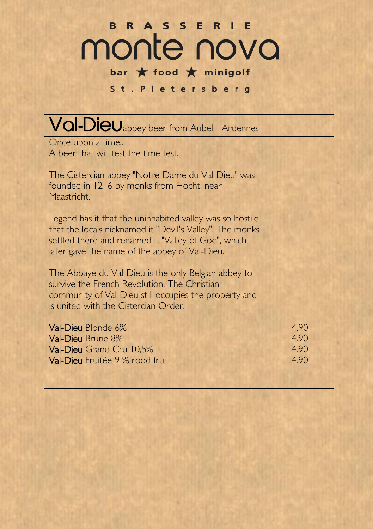#### St. Pietersberg

| Val-Dieuabbey beer from Aubel - Ardennes                                                                                                                                                                                     |                              |
|------------------------------------------------------------------------------------------------------------------------------------------------------------------------------------------------------------------------------|------------------------------|
| Once upon a time<br>A beer that will test the time test.                                                                                                                                                                     |                              |
| The Cistercian abbey "Notre-Dame du Val-Dieu" was<br>founded in 1216 by monks from Hocht, near<br>Maastricht.                                                                                                                |                              |
| Legend has it that the uninhabited valley was so hostile<br>that the locals nicknamed it "Devil's Valley". The monks<br>settled there and renamed it "Valley of God", which<br>later gave the name of the abbey of Val-Dieu. |                              |
| The Abbaye du Val-Dieu is the only Belgian abbey to<br>survive the French Revolution. The Christian<br>community of Val-Dieu still occupies the property and<br>is united with the Cistercian Order.                         |                              |
| <b>Val-Dieu</b> Blonde 6%<br>Val-Dieu Brune 8%<br>Val-Dieu Grand Cru 10,5%<br>Val-Dieu Fruitée 9 % rood fruit                                                                                                                | 4.90<br>4.90<br>4.90<br>4.90 |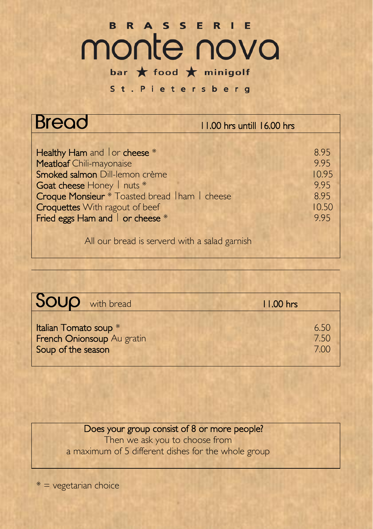St. Pietersberg

| <b>Bread</b>                                                                                                                                                                                                                                                  | 11.00 hrs untill 16.00 hrs                            |
|---------------------------------------------------------------------------------------------------------------------------------------------------------------------------------------------------------------------------------------------------------------|-------------------------------------------------------|
| <b>Healthy Ham and lor cheese</b> *<br>Meatloaf Chili-mayonaise<br>Smoked salmon Dill-lemon crème<br>Goat cheese Honey   nuts *<br>Croque Monsieur * Toasted bread Iham I cheese<br><b>Croquettes</b> With ragout of beef<br>Fried eggs Ham and   or cheese * | 8.95<br>9.95<br>10.95<br>9.95<br>8.95<br>10.50<br>995 |
| All our bread is serverd with a salad garnish                                                                                                                                                                                                                 |                                                       |

|                                             | <b>SOUP</b> with bread     | 11.00 hrs |                      |
|---------------------------------------------|----------------------------|-----------|----------------------|
| Italian Tomato soup *<br>Soup of the season | French Onionsoup Au gratin |           | 6.50<br>7.50<br>7.00 |

Does your group consist of 8 or more people?

Then we ask you to choose from a maximum of 5 different dishes for the whole group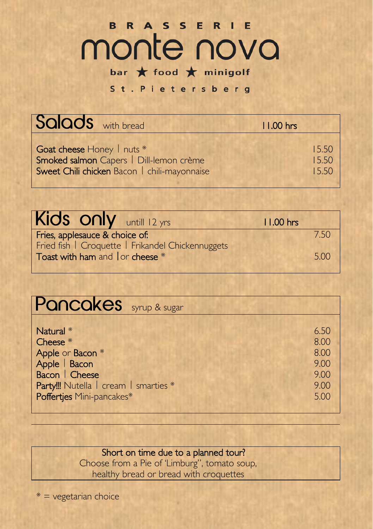St. Pietersberg

| Salads with bread                            | $11.00$ hrs |
|----------------------------------------------|-------------|
| Goat cheese Honey   nuts *                   | 15.50       |
| Smoked salmon Capers   Dill-lemon crème      | 15.50       |
| Sweet Chili chicken Bacon   chili-mayonnaise | 15.50       |

| Kids only $unfill 12 yrs$                         | $11.00$ hrs |
|---------------------------------------------------|-------------|
| Fries, applesauce & choice of:                    | 7.50        |
| Fried fish   Croquette   Frikandel Chickennuggets |             |
| Toast with ham and   or cheese *                  | 5.00        |
|                                                   |             |

| <b>Pancakes</b> syrup & sugar                                                                                         |                                                      |
|-----------------------------------------------------------------------------------------------------------------------|------------------------------------------------------|
| Natural *<br>Cheese *<br>Apple or Bacon *<br>Apple   Bacon<br>Bacon   Cheese<br>Party!!! Nutella   cream   smarties * | 6.50<br>8.00<br>8.00<br>9.00<br>9.00<br>9.00<br>5.00 |
| Poffertjes Mini-pancakes*                                                                                             |                                                      |

#### Short on time due to a planned tour?

Choose from a Pie of 'Limburg", tomato soup, healthy bread or bread with croquettes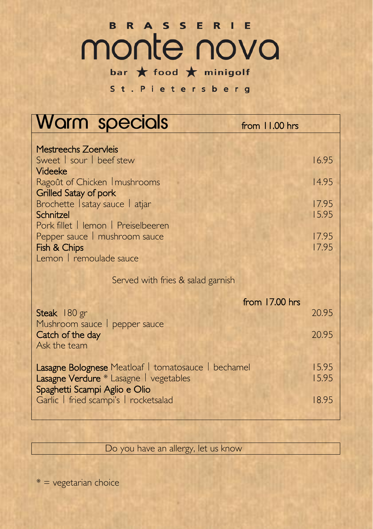# **MONTE NOVO**

bar  $\bigstar$  food  $\bigstar$  minigolf

St. Pietersberg

| Warm specials                                                                  | from 11.00 hrs |  |
|--------------------------------------------------------------------------------|----------------|--|
| <b>Mestreechs Zoervleis</b>                                                    |                |  |
| Sweet   sour   beef stew                                                       | 16.95          |  |
| Videeke<br>Ragoût of Chicken   mushrooms                                       | 14.95          |  |
| <b>Grilled Satay of pork</b>                                                   |                |  |
| Brochette Isatay sauce   atjar<br>Schnitzel                                    | 17.95<br>15.95 |  |
| Pork fillet   lemon   Preiselbeeren                                            |                |  |
| Pepper sauce   mushroom sauce<br>Fish & Chips                                  | 17.95<br>17.95 |  |
| Lemon   remoulade sauce                                                        |                |  |
| Served with fries & salad garnish                                              |                |  |
|                                                                                | from 17.00 hrs |  |
| Steak 180 gr<br>Mushroom sauce   pepper sauce                                  | 20.95          |  |
| Catch of the day                                                               | 20.95          |  |
| Ask the team                                                                   |                |  |
| Lasagne Bolognese Meatloaf   tomatosauce   bechamel                            |                |  |
| <b>Lasagne Verdure</b> * Lasagne   vegetables<br>Spaghetti Scampi Aglio e Olio | 15.95          |  |
| Garlic   fried scampi's   rocketsalad                                          | 18.95          |  |
|                                                                                |                |  |

Do you have an allergy, let us know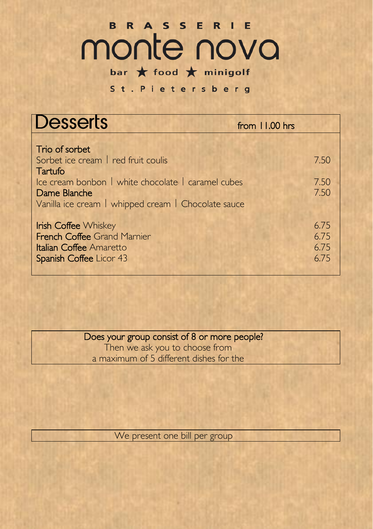## B R A S S E R I E monte nova bar  $\bigstar$  food  $\bigstar$  minigolf

St. Pietersberg

| <b>Desserts</b>                                                                                                                                                                       | from 11.00 hrs               |
|---------------------------------------------------------------------------------------------------------------------------------------------------------------------------------------|------------------------------|
| Trio of sorbet<br>Sorbet ice cream   red fruit coulis<br>Tartufo<br>Ice cream bonbon   white chocolate   caramel cubes<br>Dame Blanche                                                | 7.50<br>7.50<br>7.50         |
| Vanilla ice cream   whipped cream   Chocolate sauce<br><b>Irish Coffee Whiskey</b><br><b>French Coffee Grand Marnier</b><br><b>Italian Coffee Amaretto</b><br>Spanish Coffee Licor 43 | 6.75<br>6.75<br>6.75<br>6.75 |

Does your group consist of 8 or more people?

Then we ask you to choose from a maximum of 5 different dishes for the

We present one bill per group